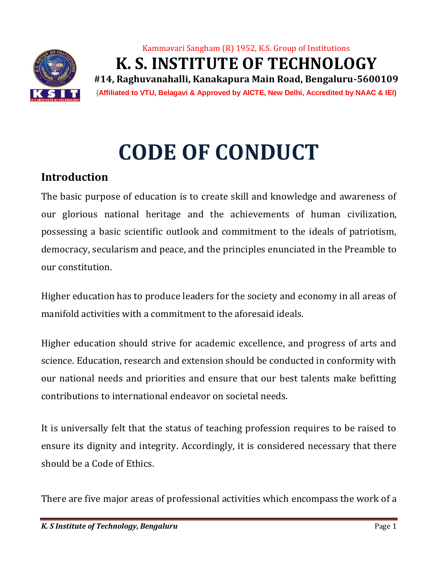

# Kammavari Sangham (R) 1952, K.S. Group of Institutions **K. S. INSTITUTE OF TECHNOLOGY #14, Raghuvanahalli, Kanakapura Main Road, Bengaluru-5600109 (Affiliated to VTU, Belagavi & Approved by AICTE, New Delhi, Accredited by NAAC & IEI)**

# **CODE OF CONDUCT**

# **Introduction**

The basic purpose of education is to create skill and knowledge and awareness of our glorious national heritage and the achievements of human civilization, possessing a basic scientific outlook and commitment to the ideals of patriotism, democracy, secularism and peace, and the principles enunciated in the Preamble to our constitution.

Higher education has to produce leaders for the society and economy in all areas of manifold activities with a commitment to the aforesaid ideals.

Higher education should strive for academic excellence, and progress of arts and science. Education, research and extension should be conducted in conformity with our national needs and priorities and ensure that our best talents make befitting contributions to international endeavor on societal needs.

It is universally felt that the status of teaching profession requires to be raised to ensure its dignity and integrity. Accordingly, it is considered necessary that there should be a Code of Ethics.

There are five major areas of professional activities which encompass the work of a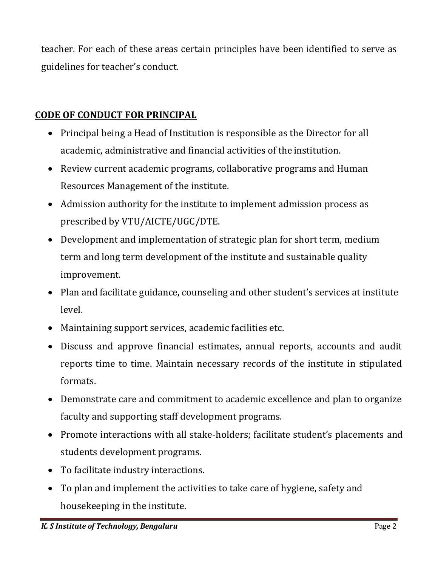teacher. For each of these areas certain principles have been identified to serve as guidelines for teacher's conduct.

## **CODE OF CONDUCT FOR PRINCIPAL**

- Principal being a Head of Institution is responsible as the Director for all academic, administrative and financial activities of the institution.
- Review current academic programs, collaborative programs and Human Resources Management of the institute.
- Admission authority for the institute to implement admission process as prescribed by VTU/AICTE/UGC/DTE.
- Development and implementation of strategic plan for short term, medium term and long term development of the institute and sustainable quality improvement.
- Plan and facilitate guidance, counseling and other student's services at institute level.
- Maintaining support services, academic facilities etc.
- Discuss and approve financial estimates, annual reports, accounts and audit reports time to time. Maintain necessary records of the institute in stipulated formats.
- Demonstrate care and commitment to academic excellence and plan to organize faculty and supporting staff development programs.
- Promote interactions with all stake-holders; facilitate student's placements and students development programs.
- To facilitate industry interactions.
- To plan and implement the activities to take care of hygiene, safety and housekeeping in the institute.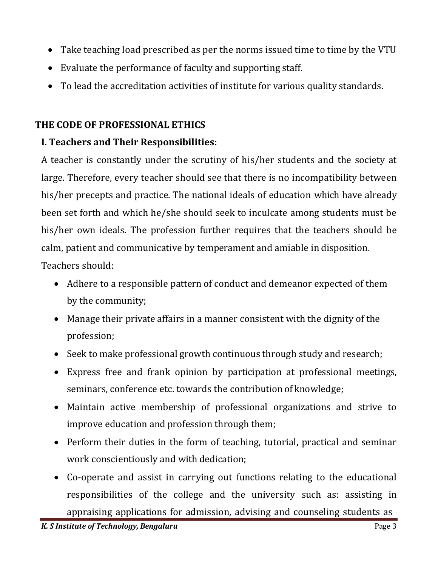- Take teaching load prescribed as per the norms issued time to time by the VTU
- Evaluate the performance of faculty and supporting staff.
- To lead the accreditation activities of institute for various quality standards.

## **THE CODE OF PROFESSIONAL ETHICS**

## **I. Teachers and Their Responsibilities:**

A teacher is constantly under the scrutiny of his/her students and the society at large. Therefore, every teacher should see that there is no incompatibility between his/her precepts and practice. The national ideals of education which have already been set forth and which he/she should seek to inculcate among students must be his/her own ideals. The profession further requires that the teachers should be calm, patient and communicative by temperament and amiable in disposition.

Teachers should:

- Adhere to a responsible pattern of conduct and demeanor expected of them by the community;
- Manage their private affairs in a manner consistent with the dignity of the profession;
- Seek to make professional growth continuous through study and research;
- Express free and frank opinion by participation at professional meetings, seminars, conference etc. towards the contribution of knowledge;
- Maintain active membership of professional organizations and strive to improve education and profession through them;
- Perform their duties in the form of teaching, tutorial, practical and seminar work conscientiously and with dedication;
- Co-operate and assist in carrying out functions relating to the educational responsibilities of the college and the university such as: assisting in

appraising applications for admission, advising and counseling students as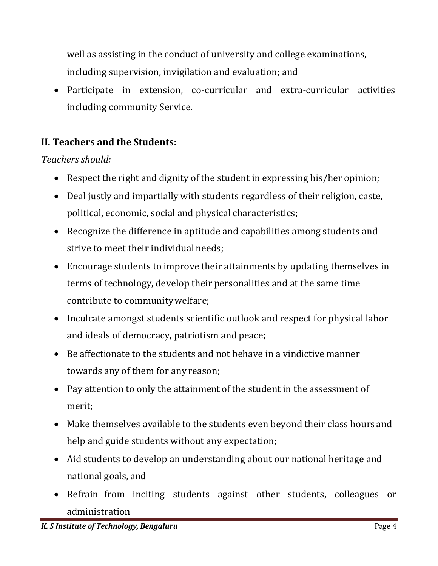well as assisting in the conduct of university and college examinations, including supervision, invigilation and evaluation; and

 Participate in extension, co-curricular and extra-curricular activities including community Service.

## **II. Teachers and the Students:**

#### *Teachers should:*

- Respect the right and dignity of the student in expressing his/her opinion;
- Deal justly and impartially with students regardless of their religion, caste, political, economic, social and physical characteristics;
- Recognize the difference in aptitude and capabilities among students and strive to meet their individual needs;
- Encourage students to improve their attainments by updating themselves in terms of technology, develop their personalities and at the same time contribute to communitywelfare;
- Inculcate amongst students scientific outlook and respect for physical labor and ideals of democracy, patriotism and peace;
- Be affectionate to the students and not behave in a vindictive manner towards any of them for any reason;
- Pay attention to only the attainment of the student in the assessment of merit;
- Make themselves available to the students even beyond their class hours and help and guide students without any expectation;
- Aid students to develop an understanding about our national heritage and national goals, and
- Refrain from inciting students against other students, colleagues or administration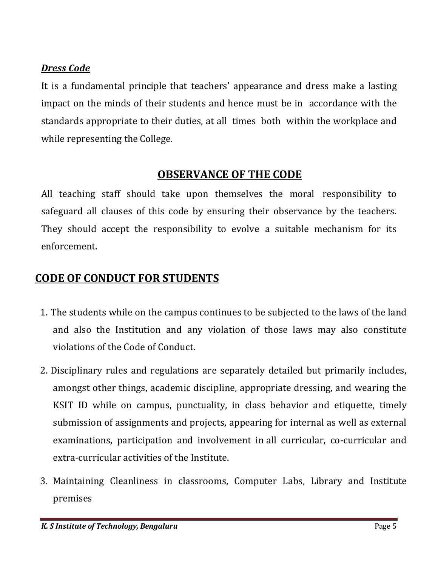#### *Dress Code*

It is a fundamental principle that teachers' appearance and dress make a lasting impact on the minds of their students and hence must be in accordance with the standards appropriate to their duties, at all times both within the workplace and while representing the College.

## **OBSERVANCE OF THE CODE**

All teaching staff should take upon themselves the moral responsibility to safeguard all clauses of this code by ensuring their observance by the teachers. They should accept the responsibility to evolve a suitable mechanism for its enforcement.

# **CODE OF CONDUCT FOR STUDENTS**

- 1. The students while on the campus continues to be subjected to the laws of the land and also the Institution and any violation of those laws may also constitute violations of the Code of Conduct.
- 2. Disciplinary rules and regulations are separately detailed but primarily includes, amongst other things, academic discipline, appropriate dressing, and wearing the KSIT ID while on campus, punctuality, in class behavior and etiquette, timely submission of assignments and projects, appearing for internal as well as external examinations, participation and involvement in all curricular, co-curricular and extra-curricular activities of the Institute.
- 3. Maintaining Cleanliness in classrooms, Computer Labs, Library and Institute premises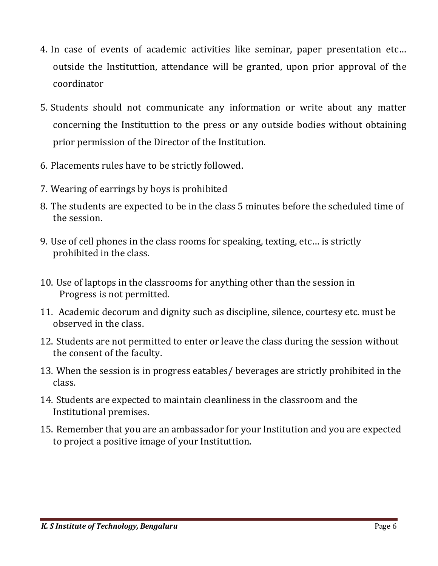- 4. In case of events of academic activities like seminar, paper presentation etc… outside the Instituttion, attendance will be granted, upon prior approval of the coordinator
- 5. Students should not communicate any information or write about any matter concerning the Instituttion to the press or any outside bodies without obtaining prior permission of the Director of the Institution.
- 6. Placements rules have to be strictly followed.
- 7. Wearing of earrings by boys is prohibited
- 8. The students are expected to be in the class 5 minutes before the scheduled time of the session.
- 9. Use of cell phones in the class rooms for speaking, texting, etc… is strictly prohibited in the class.
- 10. Use of laptops in the classrooms for anything other than the session in Progress is not permitted.
- 11. Academic decorum and dignity such as discipline, silence, courtesy etc. must be observed in the class.
- 12. Students are not permitted to enter or leave the class during the session without the consent of the faculty.
- 13. When the session is in progress eatables/ beverages are strictly prohibited in the class.
- 14. Students are expected to maintain cleanliness in the classroom and the Institutional premises.
- 15. Remember that you are an ambassador for your Institution and you are expected to project a positive image of your Instituttion.